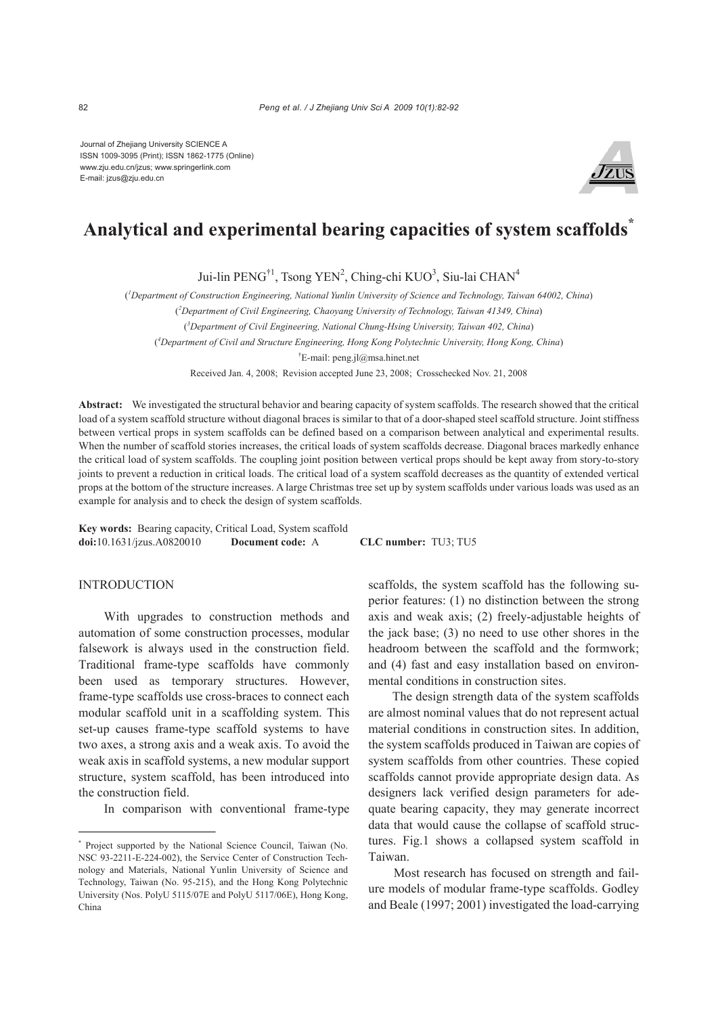Journal of Zhejiang University SCIENCE A ISSN 1009-3095 (Print); ISSN 1862-1775 (Online) www.zju.edu.cn/jzus; www.springerlink.com E-mail: jzus@zju.edu.cn



# **Analytical and experimental bearing capacities of system scaffolds\***

Jui-lin PENG<sup>†1</sup>, Tsong YEN<sup>2</sup>, Ching-chi KUO<sup>3</sup>, Siu-lai CHAN<sup>4</sup>

( *1 Department of Construction Engineering, National Yunlin University of Science and Technology, Taiwan 64002, China*)

( *2 Department of Civil Engineering, Chaoyang University of Technology, Taiwan 41349, China*)

( *3 Department of Civil Engineering, National Chung-Hsing University, Taiwan 402, China*)

( *4 Department of Civil and Structure Engineering, Hong Kong Polytechnic University, Hong Kong, China*)

† E-mail: peng.jl@msa.hinet.net

Received Jan. 4, 2008; Revision accepted June 23, 2008; Crosschecked Nov. 21, 2008

**Abstract:** We investigated the structural behavior and bearing capacity of system scaffolds. The research showed that the critical load of a system scaffold structure without diagonal braces is similar to that of a door-shaped steel scaffold structure. Joint stiffness between vertical props in system scaffolds can be defined based on a comparison between analytical and experimental results. When the number of scaffold stories increases, the critical loads of system scaffolds decrease. Diagonal braces markedly enhance the critical load of system scaffolds. The coupling joint position between vertical props should be kept away from story-to-story joints to prevent a reduction in critical loads. The critical load of a system scaffold decreases as the quantity of extended vertical props at the bottom of the structure increases. A large Christmas tree set up by system scaffolds under various loads was used as an example for analysis and to check the design of system scaffolds.

**Key words:** Bearing capacity, Critical Load, System scaffold **doi:**10.1631/jzus.A0820010 **Document code:** A **CLC number:** TU3; TU5

## INTRODUCTION

With upgrades to construction methods and automation of some construction processes, modular falsework is always used in the construction field. Traditional frame-type scaffolds have commonly been used as temporary structures. However, frame-type scaffolds use cross-braces to connect each modular scaffold unit in a scaffolding system. This set-up causes frame-type scaffold systems to have two axes, a strong axis and a weak axis. To avoid the weak axis in scaffold systems, a new modular support structure, system scaffold, has been introduced into the construction field.

In comparison with conventional frame-type

scaffolds, the system scaffold has the following superior features: (1) no distinction between the strong axis and weak axis; (2) freely-adjustable heights of the jack base; (3) no need to use other shores in the headroom between the scaffold and the formwork; and (4) fast and easy installation based on environmental conditions in construction sites.

The design strength data of the system scaffolds are almost nominal values that do not represent actual material conditions in construction sites. In addition, the system scaffolds produced in Taiwan are copies of system scaffolds from other countries. These copied scaffolds cannot provide appropriate design data. As designers lack verified design parameters for adequate bearing capacity, they may generate incorrect data that would cause the collapse of scaffold structures. Fig.1 shows a collapsed system scaffold in Taiwan.

Most research has focused on strength and failure models of modular frame-type scaffolds. Godley and Beale (1997; 2001) investigated the load-carrying

<sup>\*</sup> Project supported by the National Science Council, Taiwan (No. NSC 93-2211-E-224-002), the Service Center of Construction Technology and Materials, National Yunlin University of Science and Technology, Taiwan (No. 95-215), and the Hong Kong Polytechnic University (Nos. PolyU 5115/07E and PolyU 5117/06E), Hong Kong, China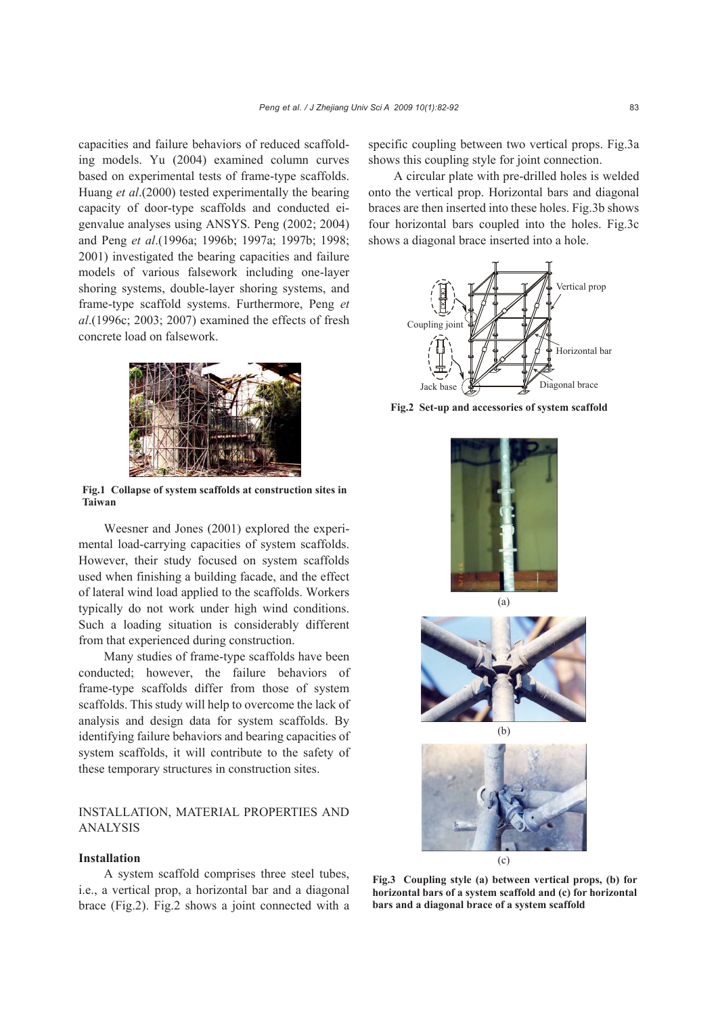capacities and failure behaviors of reduced scaffolding models. Yu (2004) examined column curves based on experimental tests of frame-type scaffolds. Huang *et al*.(2000) tested experimentally the bearing capacity of door-type scaffolds and conducted eigenvalue analyses using ANSYS. Peng (2002; 2004) and Peng *et al*.(1996a; 1996b; 1997a; 1997b; 1998; 2001) investigated the bearing capacities and failure models of various falsework including one-layer shoring systems, double-layer shoring systems, and frame-type scaffold systems. Furthermore, Peng *et al*.(1996c; 2003; 2007) examined the effects of fresh concrete load on falsework.



**Fig.1 Collapse of system scaffolds at construction sites in Taiwan**

Weesner and Jones (2001) explored the experimental load-carrying capacities of system scaffolds. However, their study focused on system scaffolds used when finishing a building facade, and the effect of lateral wind load applied to the scaffolds. Workers typically do not work under high wind conditions. Such a loading situation is considerably different from that experienced during construction.

Many studies of frame-type scaffolds have been conducted; however, the failure behaviors of frame-type scaffolds differ from those of system scaffolds. This study will help to overcome the lack of analysis and design data for system scaffolds. By identifying failure behaviors and bearing capacities of system scaffolds, it will contribute to the safety of these temporary structures in construction sites.

## INSTALLATION, MATERIAL PROPERTIES AND ANALYSIS

#### **Installation**

A system scaffold comprises three steel tubes, i.e., a vertical prop, a horizontal bar and a diagonal brace (Fig.2). Fig.2 shows a joint connected with a specific coupling between two vertical props. Fig.3a shows this coupling style for joint connection.

A circular plate with pre-drilled holes is welded onto the vertical prop. Horizontal bars and diagonal braces are then inserted into these holes. Fig.3b shows four horizontal bars coupled into the holes. Fig.3c shows a diagonal brace inserted into a hole.



**Fig.2 Set-up and accessories of system scaffold**







(b)



**Fig.3 Coupling style (a) between vertical props, (b) for horizontal bars of a system scaffold and (c) for horizontal bars and a diagonal brace of a system scaffold**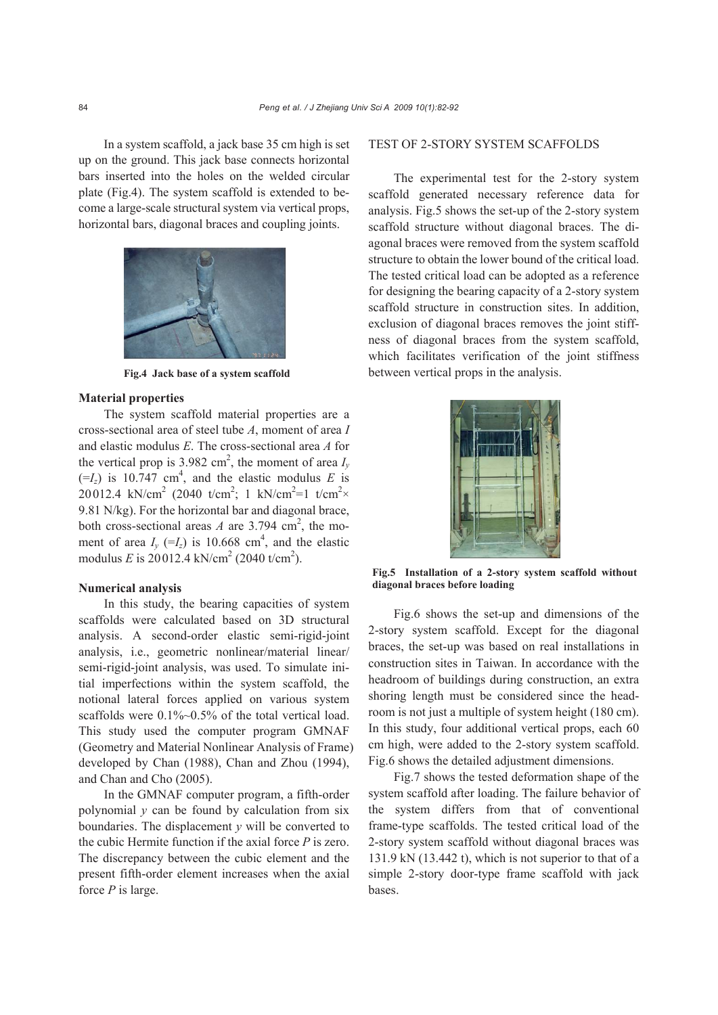In a system scaffold, a jack base 35 cm high is set up on the ground. This jack base connects horizontal bars inserted into the holes on the welded circular plate (Fig.4). The system scaffold is extended to become a large-scale structural system via vertical props, horizontal bars, diagonal braces and coupling joints.



**Fig.4 Jack base of a system scaffold**

#### **Material properties**

The system scaffold material properties are a cross-sectional area of steel tube *A*, moment of area *I* and elastic modulus *E*. The cross-sectional area *A* for the vertical prop is 3.982 cm<sup>2</sup>, the moment of area  $I_y$  $(=I_z)$  is 10.747 cm<sup>4</sup>, and the elastic modulus *E* is 20012.4 kN/cm<sup>2</sup> (2040 t/cm<sup>2</sup>; 1 kN/cm<sup>2</sup>=1 t/cm<sup>2</sup>× 9.81 N/kg). For the horizontal bar and diagonal brace, both cross-sectional areas *A* are 3.794 cm<sup>2</sup>, the moment of area  $I_y$  (= $I_z$ ) is 10.668 cm<sup>4</sup>, and the elastic modulus *E* is 20012.4 kN/cm<sup>2</sup> (2040 t/cm<sup>2</sup>).

#### **Numerical analysis**

In this study, the bearing capacities of system scaffolds were calculated based on 3D structural analysis. A second-order elastic semi-rigid-joint analysis, i.e., geometric nonlinear/material linear/ semi-rigid-joint analysis, was used. To simulate initial imperfections within the system scaffold, the notional lateral forces applied on various system scaffolds were 0.1%~0.5% of the total vertical load. This study used the computer program GMNAF (Geometry and Material Nonlinear Analysis of Frame) developed by Chan (1988), Chan and Zhou (1994), and Chan and Cho (2005).

In the GMNAF computer program, a fifth-order polynomial *y* can be found by calculation from six boundaries. The displacement *y* will be converted to the cubic Hermite function if the axial force *P* is zero. The discrepancy between the cubic element and the present fifth-order element increases when the axial force *P* is large.

## TEST OF 2-STORY SYSTEM SCAFFOLDS

The experimental test for the 2-story system scaffold generated necessary reference data for analysis. Fig.5 shows the set-up of the 2-story system scaffold structure without diagonal braces. The diagonal braces were removed from the system scaffold structure to obtain the lower bound of the critical load. The tested critical load can be adopted as a reference for designing the bearing capacity of a 2-story system scaffold structure in construction sites. In addition, exclusion of diagonal braces removes the joint stiffness of diagonal braces from the system scaffold, which facilitates verification of the joint stiffness between vertical props in the analysis.



**Fig.5 Installation of a 2-story system scaffold without diagonal braces before loading**

Fig.6 shows the set-up and dimensions of the 2-story system scaffold. Except for the diagonal braces, the set-up was based on real installations in construction sites in Taiwan. In accordance with the headroom of buildings during construction, an extra shoring length must be considered since the headroom is not just a multiple of system height (180 cm). In this study, four additional vertical props, each 60 cm high, were added to the 2-story system scaffold. Fig.6 shows the detailed adjustment dimensions.

Fig.7 shows the tested deformation shape of the system scaffold after loading. The failure behavior of the system differs from that of conventional frame-type scaffolds. The tested critical load of the 2-story system scaffold without diagonal braces was 131.9 kN (13.442 t), which is not superior to that of a simple 2-story door-type frame scaffold with jack bases.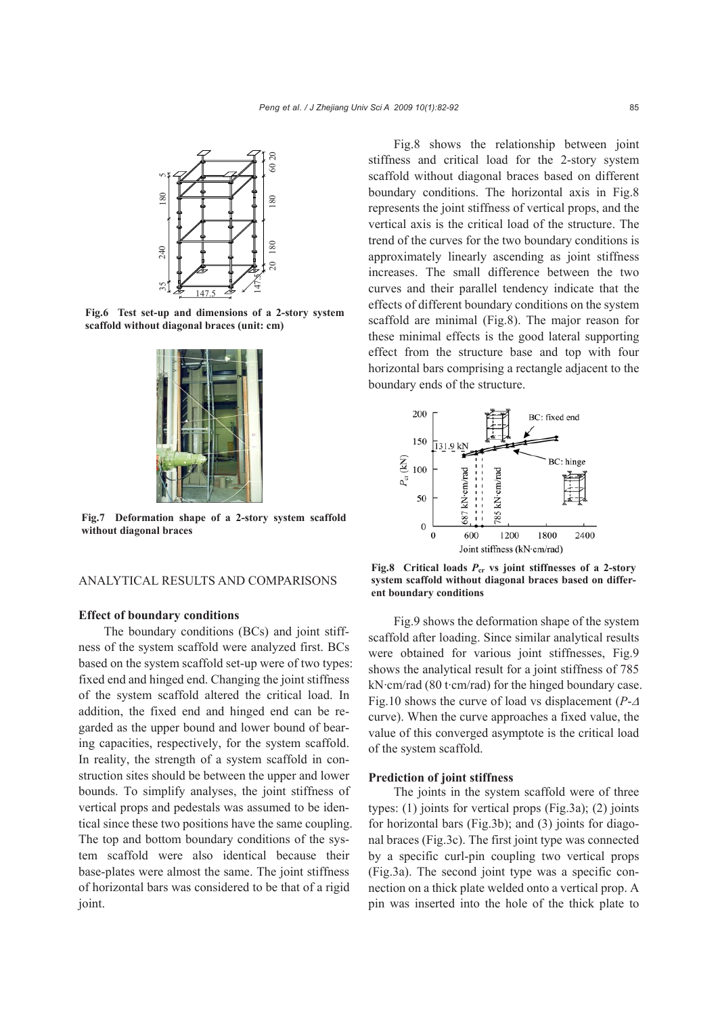

**Fig.6 Test set-up and dimensions of a 2-story system**



**Fig.7 Deformation shape of a 2-story system scaffold without diagonal braces**

#### ANALYTICAL RESULTS AND COMPARISONS

## **Effect of boundary conditions**

The boundary conditions (BCs) and joint stiffness of the system scaffold were analyzed first. BCs based on the system scaffold set-up were of two types: fixed end and hinged end. Changing the joint stiffness of the system scaffold altered the critical load. In addition, the fixed end and hinged end can be regarded as the upper bound and lower bound of bearing capacities, respectively, for the system scaffold. In reality, the strength of a system scaffold in construction sites should be between the upper and lower bounds. To simplify analyses, the joint stiffness of vertical props and pedestals was assumed to be identical since these two positions have the same coupling. The top and bottom boundary conditions of the system scaffold were also identical because their base-plates were almost the same. The joint stiffness of horizontal bars was considered to be that of a rigid joint.

Fig.8 shows the relationship between joint stiffness and critical load for the 2-story system scaffold without diagonal braces based on different boundary conditions. The horizontal axis in Fig.8 represents the joint stiffness of vertical props, and the vertical axis is the critical load of the structure. The trend of the curves for the two boundary conditions is approximately linearly ascending as joint stiffness increases. The small difference between the two curves and their parallel tendency indicate that the effects of different boundary conditions on the system scaffold are minimal (Fig.8). The major reason for these minimal effects is the good lateral supporting effect from the structure base and top with four horizontal bars comprising a rectangle adjacent to the boundary ends of the structure.



**Fig.8 Critical loads** *P***cr vs joint stiffnesses of a 2-story system scaffold without diagonal braces based on different boundary conditions**

Fig.9 shows the deformation shape of the system scaffold after loading. Since similar analytical results were obtained for various joint stiffnesses, Fig.9 shows the analytical result for a joint stiffness of 785 kN·cm/rad (80 t·cm/rad) for the hinged boundary case. Fig.10 shows the curve of load vs displacement (*P*-<sup>Δ</sup> curve). When the curve approaches a fixed value, the value of this converged asymptote is the critical load of the system scaffold.

#### **Prediction of joint stiffness**

The joints in the system scaffold were of three types: (1) joints for vertical props (Fig.3a); (2) joints for horizontal bars (Fig.3b); and (3) joints for diagonal braces (Fig.3c). The first joint type was connected by a specific curl-pin coupling two vertical props (Fig.3a). The second joint type was a specific connection on a thick plate welded onto a vertical prop. A pin was inserted into the hole of the thick plate to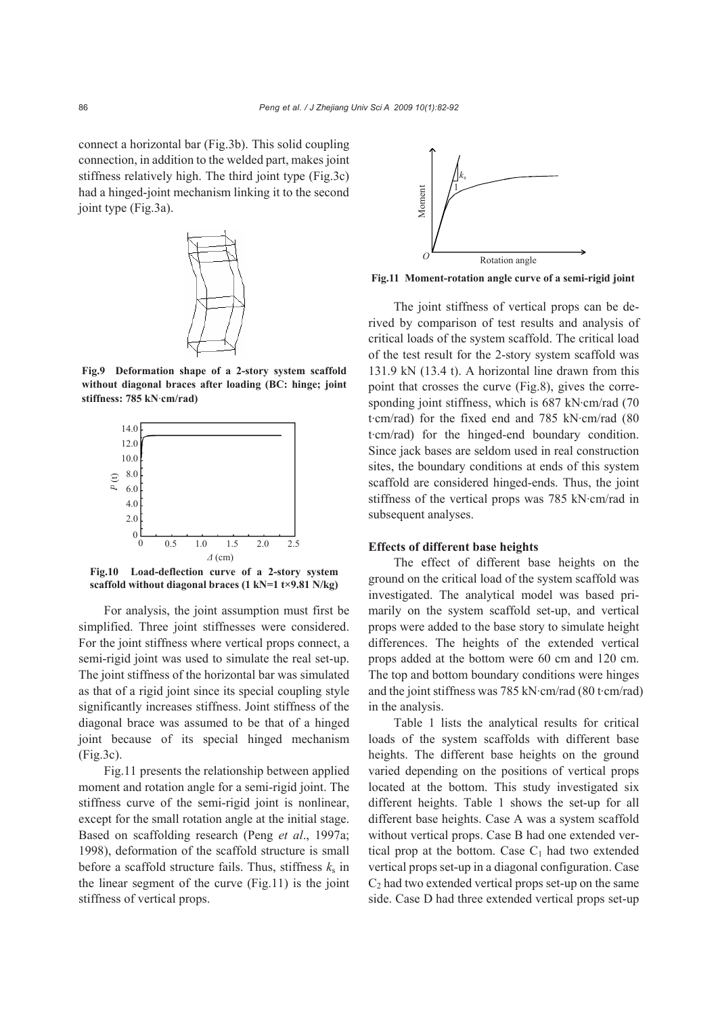connect a horizontal bar (Fig.3b). This solid coupling connection, in addition to the welded part, makes joint stiffness relatively high. The third joint type (Fig.3c) had a hinged-joint mechanism linking it to the second joint type (Fig.3a).



**Fig.9 Deformation shape of a 2-story system scaffold without diagonal braces after loading (BC: hinge; joint stiffness: 785 kN**·**cm/rad)** 



**Fig.10 Load-deflection curve of a 2-story system scaffold without diagonal braces (1 kN=1 t×9.81 N/kg)**

For analysis, the joint assumption must first be simplified. Three joint stiffnesses were considered. For the joint stiffness where vertical props connect, a semi-rigid joint was used to simulate the real set-up. The joint stiffness of the horizontal bar was simulated as that of a rigid joint since its special coupling style significantly increases stiffness. Joint stiffness of the diagonal brace was assumed to be that of a hinged joint because of its special hinged mechanism (Fig.3c).

Fig.11 presents the relationship between applied moment and rotation angle for a semi-rigid joint. The stiffness curve of the semi-rigid joint is nonlinear, except for the small rotation angle at the initial stage. Based on scaffolding research (Peng *et al*., 1997a; 1998), deformation of the scaffold structure is small before a scaffold structure fails. Thus, stiffness  $k_s$  in the linear segment of the curve (Fig.11) is the joint stiffness of vertical props.



The joint stiffness of vertical props can be derived by comparison of test results and analysis of critical loads of the system scaffold. The critical load of the test result for the 2-story system scaffold was 131.9 kN (13.4 t). A horizontal line drawn from this point that crosses the curve (Fig.8), gives the corresponding joint stiffness, which is 687 kN·cm/rad (70) t·cm/rad) for the fixed end and 785 kN·cm/rad (80 t·cm/rad) for the hinged-end boundary condition. Since jack bases are seldom used in real construction sites, the boundary conditions at ends of this system scaffold are considered hinged-ends. Thus, the joint stiffness of the vertical props was 785 kN·cm/rad in subsequent analyses.

## **Effects of different base heights**

The effect of different base heights on the ground on the critical load of the system scaffold was investigated. The analytical model was based primarily on the system scaffold set-up, and vertical props were added to the base story to simulate height differences. The heights of the extended vertical props added at the bottom were 60 cm and 120 cm. The top and bottom boundary conditions were hinges and the joint stiffness was 785 kN·cm/rad (80 t·cm/rad) in the analysis.

Table 1 lists the analytical results for critical loads of the system scaffolds with different base heights. The different base heights on the ground varied depending on the positions of vertical props located at the bottom. This study investigated six different heights. Table 1 shows the set-up for all different base heights. Case A was a system scaffold without vertical props. Case B had one extended vertical prop at the bottom. Case  $C_1$  had two extended vertical props set-up in a diagonal configuration. Case  $C<sub>2</sub>$  had two extended vertical props set-up on the same side. Case D had three extended vertical props set-up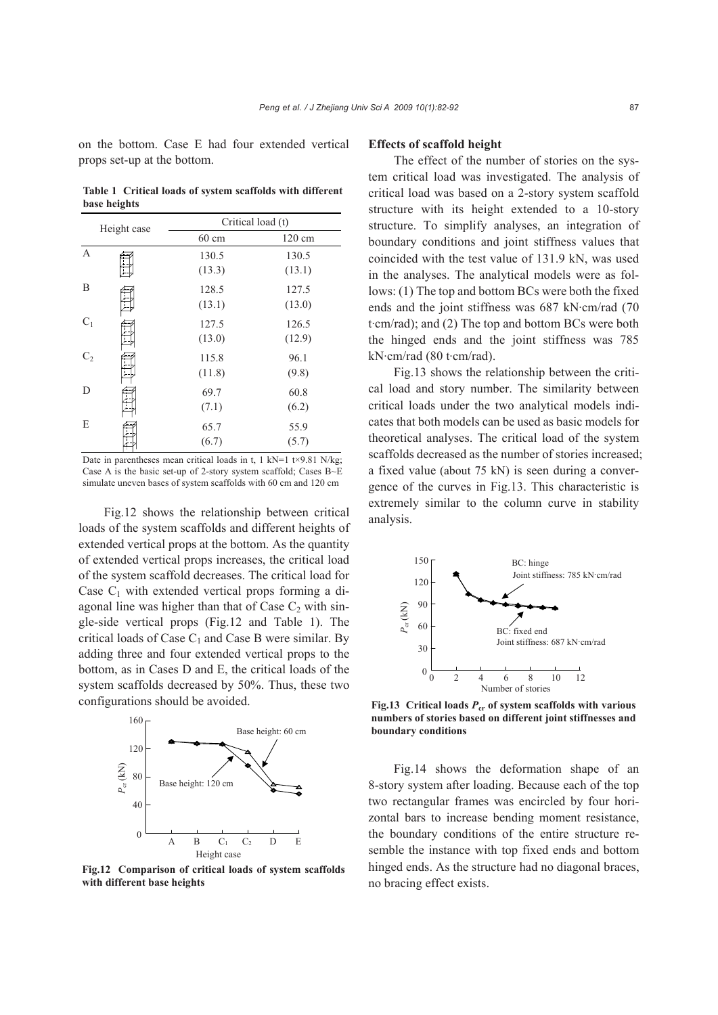on the bottom. Case E had four extended vertical props set-up at the bottom.

**Table 1 Critical loads of system scaffolds with different base heights**

|                | Height case | Critical load (t)         |                           |
|----------------|-------------|---------------------------|---------------------------|
|                |             | 60 cm                     | 120 cm                    |
| $\mathbf{A}$   |             | 130.5                     | 130.5                     |
| B              |             | (13.3)<br>128.5<br>(13.1) | (13.1)<br>127.5<br>(13.0) |
| $C_1$          |             | 127.5<br>(13.0)           | 126.5<br>(12.9)           |
| C <sub>2</sub> |             | 115.8<br>(11.8)           | 96.1<br>(9.8)             |
| D              |             | 69.7<br>(7.1)             | 60.8<br>(6.2)             |
| E              |             | 65.7<br>(6.7)             | 55.9<br>(5.7)             |

Date in parentheses mean critical loads in t, 1 kN=1 t $\times$ 9.81 N/kg; Case A is the basic set-up of 2-story system scaffold; Cases B~E simulate uneven bases of system scaffolds with 60 cm and 120 cm

Fig.12 shows the relationship between critical loads of the system scaffolds and different heights of extended vertical props at the bottom. As the quantity of extended vertical props increases, the critical load of the system scaffold decreases. The critical load for Case  $C_1$  with extended vertical props forming a diagonal line was higher than that of Case  $C_2$  with single-side vertical props (Fig.12 and Table 1). The critical loads of Case  $C_1$  and Case B were similar. By adding three and four extended vertical props to the bottom, as in Cases D and E, the critical loads of the system scaffolds decreased by 50%. Thus, these two configurations should be avoided.



**Fig.12 Comparison of critical loads of system scaffolds with different base heights**

### **Effects of scaffold height**

The effect of the number of stories on the system critical load was investigated. The analysis of critical load was based on a 2-story system scaffold structure with its height extended to a 10-story structure. To simplify analyses, an integration of boundary conditions and joint stiffness values that coincided with the test value of 131.9 kN, was used in the analyses. The analytical models were as follows: (1) The top and bottom BCs were both the fixed ends and the joint stiffness was 687 kN·cm/rad (70 t·cm/rad); and (2) The top and bottom BCs were both the hinged ends and the joint stiffness was 785 kN·cm/rad (80 t·cm/rad).

Fig.13 shows the relationship between the critical load and story number. The similarity between critical loads under the two analytical models indicates that both models can be used as basic models for theoretical analyses. The critical load of the system scaffolds decreased as the number of stories increased; a fixed value (about 75 kN) is seen during a convergence of the curves in Fig.13. This characteristic is extremely similar to the column curve in stability analysis.



**Fig.13 Critical loads** *P***cr of system scaffolds with various numbers of stories based on different joint stiffnesses and boundary conditions** 

Fig.14 shows the deformation shape of an 8-story system after loading. Because each of the top two rectangular frames was encircled by four horizontal bars to increase bending moment resistance, the boundary conditions of the entire structure resemble the instance with top fixed ends and bottom hinged ends. As the structure had no diagonal braces, no bracing effect exists.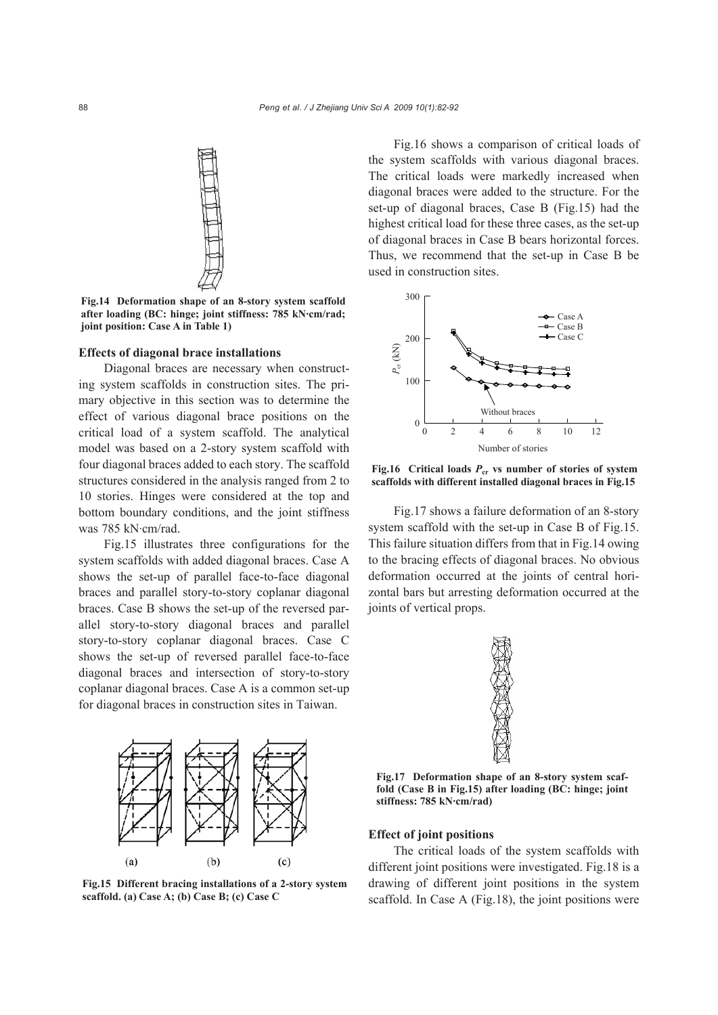

**Fig.14 Deformation shape of an 8-story system scaffold after loading (BC: hinge; joint stiffness: 785 kN·cm/rad; joint position: Case A in Table 1)**

#### **Effects of diagonal brace installations**

Diagonal braces are necessary when constructing system scaffolds in construction sites. The primary objective in this section was to determine the effect of various diagonal brace positions on the critical load of a system scaffold. The analytical model was based on a 2-story system scaffold with four diagonal braces added to each story. The scaffold structures considered in the analysis ranged from 2 to 10 stories. Hinges were considered at the top and bottom boundary conditions, and the joint stiffness was 785 kN·cm/rad.

Fig.15 illustrates three configurations for the system scaffolds with added diagonal braces. Case A shows the set-up of parallel face-to-face diagonal braces and parallel story-to-story coplanar diagonal braces. Case B shows the set-up of the reversed parallel story-to-story diagonal braces and parallel story-to-story coplanar diagonal braces. Case C shows the set-up of reversed parallel face-to-face diagonal braces and intersection of story-to-story coplanar diagonal braces. Case A is a common set-up for diagonal braces in construction sites in Taiwan.



**Fig.15 Different bracing installations of a 2-story system scaffold. (a) Case A; (b) Case B; (c) Case C** 

Fig.16 shows a comparison of critical loads of the system scaffolds with various diagonal braces. The critical loads were markedly increased when diagonal braces were added to the structure. For the set-up of diagonal braces, Case B (Fig.15) had the highest critical load for these three cases, as the set-up of diagonal braces in Case B bears horizontal forces. Thus, we recommend that the set-up in Case B be used in construction sites.



**Fig.16 Critical loads** *P***cr vs number of stories of system scaffolds with different installed diagonal braces in Fig.15**

Fig.17 shows a failure deformation of an 8-story system scaffold with the set-up in Case B of Fig.15. This failure situation differs from that in Fig.14 owing to the bracing effects of diagonal braces. No obvious deformation occurred at the joints of central horizontal bars but arresting deformation occurred at the joints of vertical props.



**Fig.17 Deformation shape of an 8-story system scaffold (Case B in Fig.15) after loading (BC: hinge; joint stiffness: 785 kN·cm/rad)**

#### **Effect of joint positions**

The critical loads of the system scaffolds with different joint positions were investigated. Fig.18 is a drawing of different joint positions in the system scaffold. In Case A (Fig.18), the joint positions were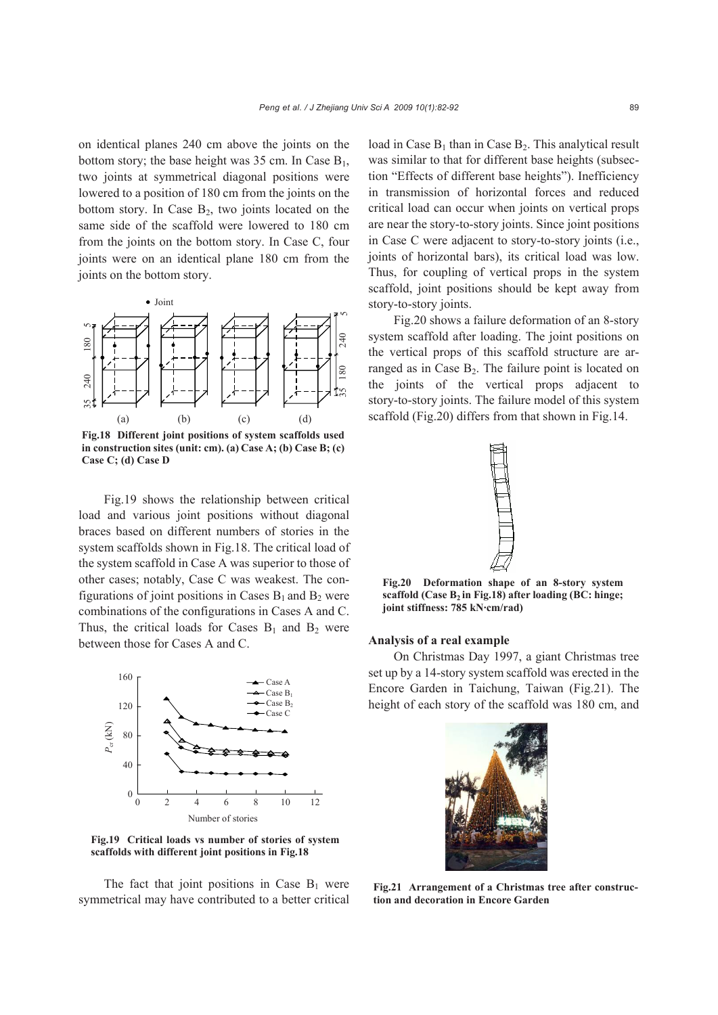on identical planes 240 cm above the joints on the bottom story; the base height was 35 cm. In Case  $B_1$ , two joints at symmetrical diagonal positions were lowered to a position of 180 cm from the joints on the bottom story. In Case  $B_2$ , two joints located on the same side of the scaffold were lowered to 180 cm from the joints on the bottom story. In Case C, four joints were on an identical plane 180 cm from the joints on the bottom story.



**Fig.18 Different joint positions of system scaffolds used in construction sites (unit: cm). (a) Case A; (b) Case B; (c) Case C; (d) Case D**

Fig.19 shows the relationship between critical load and various joint positions without diagonal braces based on different numbers of stories in the system scaffolds shown in Fig.18. The critical load of the system scaffold in Case A was superior to those of other cases; notably, Case C was weakest. The configurations of joint positions in Cases  $B_1$  and  $B_2$  were combinations of the configurations in Cases A and C. Thus, the critical loads for Cases  $B_1$  and  $B_2$  were between those for Cases A and C.



**Fig.19 Critical loads vs number of stories of system scaffolds with different joint positions in Fig.18**

The fact that joint positions in Case  $B_1$  were symmetrical may have contributed to a better critical load in Case  $B_1$  than in Case  $B_2$ . This analytical result was similar to that for different base heights (subsection "Effects of different base heights"). Inefficiency in transmission of horizontal forces and reduced critical load can occur when joints on vertical props are near the story-to-story joints. Since joint positions in Case C were adjacent to story-to-story joints (i.e., joints of horizontal bars), its critical load was low. Thus, for coupling of vertical props in the system scaffold, joint positions should be kept away from story-to-story joints.

Fig.20 shows a failure deformation of an 8-story system scaffold after loading. The joint positions on the vertical props of this scaffold structure are arranged as in Case  $B_2$ . The failure point is located on the joints of the vertical props adjacent to story-to-story joints. The failure model of this system scaffold (Fig.20) differs from that shown in Fig.14.



**Fig.20 Deformation shape of an 8-story system scaffold (Case B2 in Fig.18) after loading (BC: hinge; joint stiffness: 785 kN·cm/rad)**

## **Analysis of a real example**

On Christmas Day 1997, a giant Christmas tree set up by a 14-story system scaffold was erected in the Encore Garden in Taichung, Taiwan (Fig.21). The height of each story of the scaffold was 180 cm, and



**Fig.21 Arrangement of a Christmas tree after construction and decoration in Encore Garden**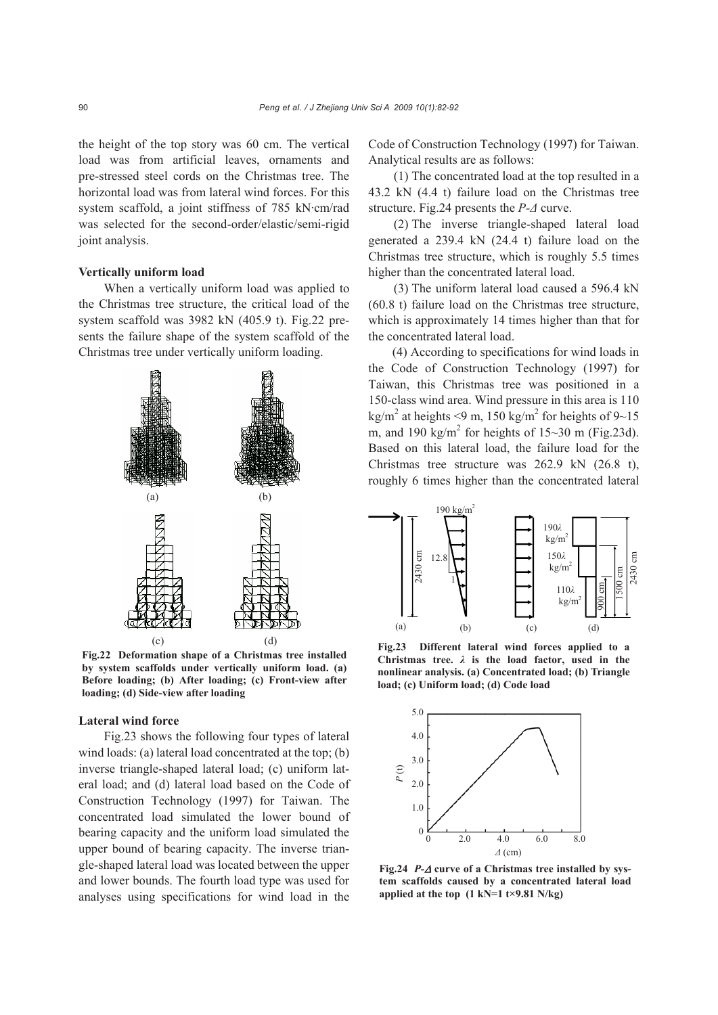the height of the top story was 60 cm. The vertical load was from artificial leaves, ornaments and pre-stressed steel cords on the Christmas tree. The horizontal load was from lateral wind forces. For this system scaffold, a joint stiffness of 785 kN·cm/rad was selected for the second-order/elastic/semi-rigid joint analysis.

#### **Vertically uniform load**

When a vertically uniform load was applied to the Christmas tree structure, the critical load of the system scaffold was 3982 kN (405.9 t). Fig.22 presents the failure shape of the system scaffold of the Christmas tree under vertically uniform loading.



**Fig.22 Deformation shape of a Christmas tree installed by system scaffolds under vertically uniform load. (a) Before loading; (b) After loading; (c) Front-view after loading; (d) Side-view after loading**

#### **Lateral wind force**

Fig.23 shows the following four types of lateral wind loads: (a) lateral load concentrated at the top; (b) inverse triangle-shaped lateral load; (c) uniform lateral load; and (d) lateral load based on the Code of Construction Technology (1997) for Taiwan. The concentrated load simulated the lower bound of bearing capacity and the uniform load simulated the upper bound of bearing capacity. The inverse triangle-shaped lateral load was located between the upper and lower bounds. The fourth load type was used for analyses using specifications for wind load in the Code of Construction Technology (1997) for Taiwan. Analytical results are as follows:

(1) The concentrated load at the top resulted in a 43.2 kN (4.4 t) failure load on the Christmas tree structure. Fig.24 presents the *P-Δ* curve.

(2) The inverse triangle-shaped lateral load generated a 239.4 kN (24.4 t) failure load on the Christmas tree structure, which is roughly 5.5 times higher than the concentrated lateral load.

(3) The uniform lateral load caused a 596.4 kN (60.8 t) failure load on the Christmas tree structure, which is approximately 14 times higher than that for the concentrated lateral load.

(4) According to specifications for wind loads in the Code of Construction Technology (1997) for Taiwan, this Christmas tree was positioned in a 150-class wind area. Wind pressure in this area is 110 kg/m<sup>2</sup> at heights <9 m, 150 kg/m<sup>2</sup> for heights of 9~15 m, and 190 kg/m<sup>2</sup> for heights of  $15 \sim 30$  m (Fig.23d). Based on this lateral load, the failure load for the Christmas tree structure was 262.9 kN (26.8 t), roughly 6 times higher than the concentrated lateral



**Fig.23 Different lateral wind forces applied to a Christmas tree.** *λ* **is the load factor, used in the nonlinear analysis. (a) Concentrated load; (b) Triangle load; (c) Uniform load; (d) Code load**



**Fig.24** *P-*Δ **curve of a Christmas tree installed by system scaffolds caused by a concentrated lateral load applied at the top (1 kN=1 t×9.81 N/kg)**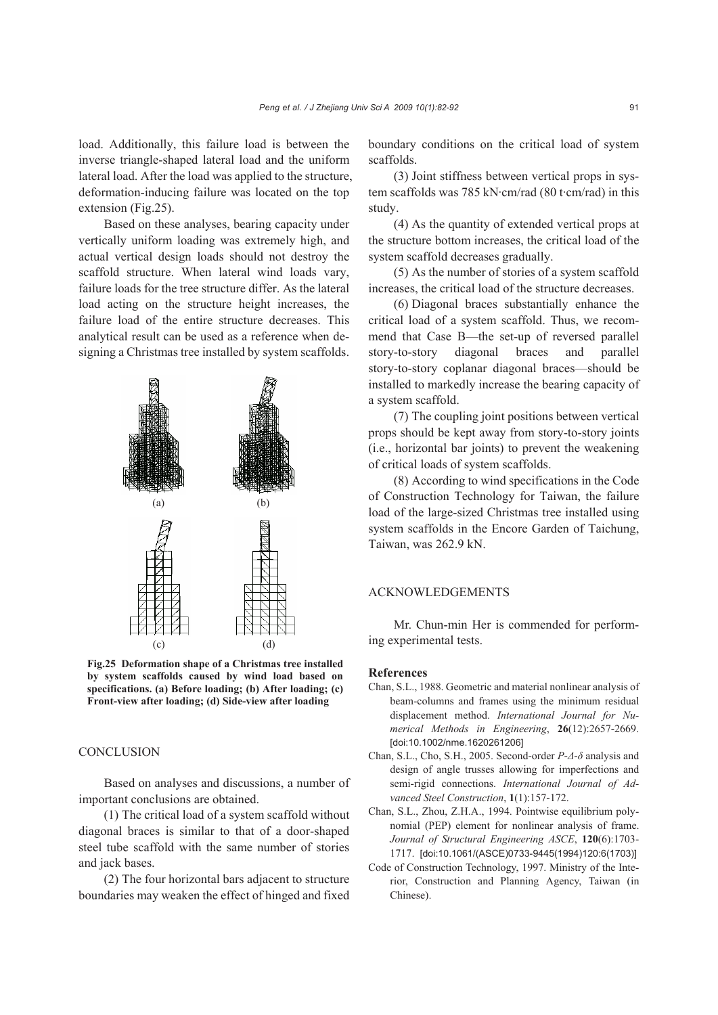load. Additionally, this failure load is between the inverse triangle-shaped lateral load and the uniform lateral load. After the load was applied to the structure, deformation-inducing failure was located on the top extension (Fig.25).

Based on these analyses, bearing capacity under vertically uniform loading was extremely high, and actual vertical design loads should not destroy the scaffold structure. When lateral wind loads vary, failure loads for the tree structure differ. As the lateral load acting on the structure height increases, the failure load of the entire structure decreases. This analytical result can be used as a reference when designing a Christmas tree installed by system scaffolds.



**Fig.25 Deformation shape of a Christmas tree installed by system scaffolds caused by wind load based on specifications. (a) Before loading; (b) After loading; (c) Front-view after loading; (d) Side-view after loading** 

## **CONCLUSION**

Based on analyses and discussions, a number of important conclusions are obtained.

(1) The critical load of a system scaffold without diagonal braces is similar to that of a door-shaped steel tube scaffold with the same number of stories and jack bases.

(2) The four horizontal bars adjacent to structure boundaries may weaken the effect of hinged and fixed boundary conditions on the critical load of system scaffolds.

(3) Joint stiffness between vertical props in system scaffolds was 785 kN·cm/rad (80 t·cm/rad) in this study.

(4) As the quantity of extended vertical props at the structure bottom increases, the critical load of the system scaffold decreases gradually.

(5) As the number of stories of a system scaffold increases, the critical load of the structure decreases.

(6) Diagonal braces substantially enhance the critical load of a system scaffold. Thus, we recommend that Case B—the set-up of reversed parallel story-to-story diagonal braces and parallel story-to-story coplanar diagonal braces—should be installed to markedly increase the bearing capacity of a system scaffold.

(7) The coupling joint positions between vertical props should be kept away from story-to-story joints (i.e., horizontal bar joints) to prevent the weakening of critical loads of system scaffolds.

(8) According to wind specifications in the Code of Construction Technology for Taiwan, the failure load of the large-sized Christmas tree installed using system scaffolds in the Encore Garden of Taichung, Taiwan, was 262.9 kN.

## ACKNOWLEDGEMENTS

Mr. Chun-min Her is commended for performing experimental tests.

#### **References**

- Chan, S.L., 1988. Geometric and material nonlinear analysis of beam-columns and frames using the minimum residual displacement method. *International Journal for Numerical Methods in Engineering*, **26**(12):2657-2669. [doi:10.1002/nme.1620261206]
- Chan, S.L., Cho, S.H., 2005. Second-order *P*-*Δ*-*δ* analysis and design of angle trusses allowing for imperfections and semi-rigid connections. *International Journal of Advanced Steel Construction*, **1**(1):157-172.
- Chan, S.L., Zhou, Z.H.A., 1994. Pointwise equilibrium polynomial (PEP) element for nonlinear analysis of frame. *Journal of Structural Engineering ASCE*, **120**(6):1703- 1717. [doi:10.1061/(ASCE)0733-9445(1994)120:6(1703)]
- Code of Construction Technology, 1997. Ministry of the Interior, Construction and Planning Agency, Taiwan (in Chinese).